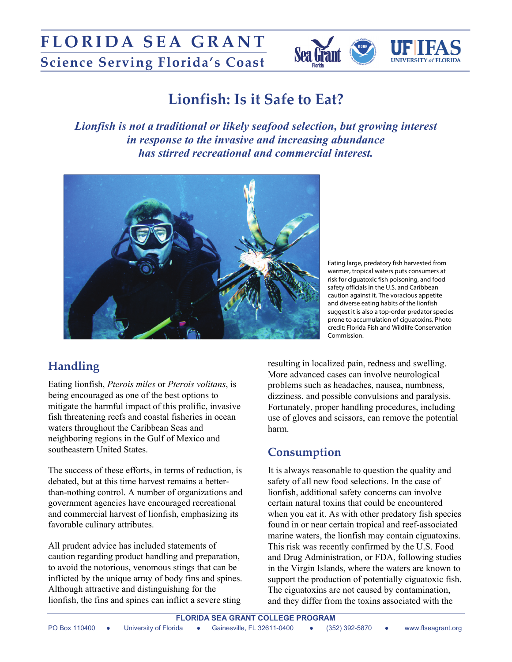

# **Lionfish: Is it Safe to Eat?**

*Lionfish is not a traditional or likely seafood selection, but growing interest in response to the invasive and increasing abundance has stirred recreational and commercial interest.*



Eating large, predatory fish harvested from warmer, tropical waters puts consumers at risk for ciguatoxic fish poisoning, and food safety officials in the U.S. and Caribbean caution against it. The voracious appetite and diverse eating habits of the lionfish suggest it is also a top-order predator species prone to accumulation of ciguatoxins. Photo credit: Florida Fish and Wildlife Conservation Commission.

## **Handling**

Eating lionfish, *Pterois miles* or *Pterois volitans*, is being encouraged as one of the best options to mitigate the harmful impact of this prolific, invasive fish threatening reefs and coastal fisheries in ocean waters throughout the Caribbean Seas and neighboring regions in the Gulf of Mexico and southeastern United States.

The success of these efforts, in terms of reduction, is debated, but at this time harvest remains a betterthan-nothing control. A number of organizations and government agencies have encouraged recreational and commercial harvest of lionfish, emphasizing its favorable culinary attributes.

All prudent advice has included statements of caution regarding product handling and preparation, to avoid the notorious, venomous stings that can be inflicted by the unique array of body fins and spines. Although attractive and distinguishing for the lionfish, the fins and spines can inflict a severe sting

resulting in localized pain, redness and swelling. More advanced cases can involve neurological problems such as headaches, nausea, numbness, dizziness, and possible convulsions and paralysis. Fortunately, proper handling procedures, including use of gloves and scissors, can remove the potential harm.

## **Consumption**

It is always reasonable to question the quality and safety of all new food selections. In the case of lionfish, additional safety concerns can involve certain natural toxins that could be encountered when you eat it. As with other predatory fish species found in or near certain tropical and reef-associated marine waters, the lionfish may contain ciguatoxins. This risk was recently confirmed by the U.S. Food and Drug Administration, or FDA, following studies in the Virgin Islands, where the waters are known to support the production of potentially ciguatoxic fish. The ciguatoxins are not caused by contamination, and they differ from the toxins associated with the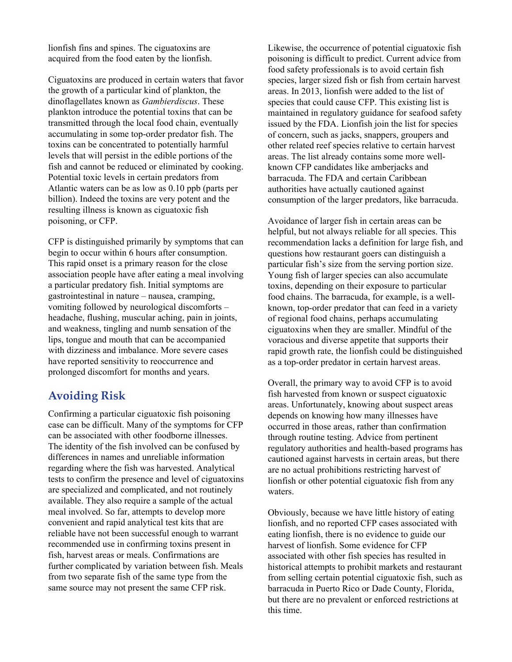lionfish fins and spines. The ciguatoxins are acquired from the food eaten by the lionfish.

Ciguatoxins are produced in certain waters that favor the growth of a particular kind of plankton, the dinoflagellates known as *Gambierdiscus*. These plankton introduce the potential toxins that can be transmitted through the local food chain, eventually accumulating in some top-order predator fish. The toxins can be concentrated to potentially harmful levels that will persist in the edible portions of the fish and cannot be reduced or eliminated by cooking. Potential toxic levels in certain predators from Atlantic waters can be as low as 0.10 ppb (parts per billion). Indeed the toxins are very potent and the resulting illness is known as ciguatoxic fish poisoning, or CFP.

CFP is distinguished primarily by symptoms that can begin to occur within 6 hours after consumption. This rapid onset is a primary reason for the close association people have after eating a meal involving a particular predatory fish. Initial symptoms are gastrointestinal in nature – nausea, cramping, vomiting followed by neurological discomforts – headache, flushing, muscular aching, pain in joints, and weakness, tingling and numb sensation of the lips, tongue and mouth that can be accompanied with dizziness and imbalance. More severe cases have reported sensitivity to reoccurrence and prolonged discomfort for months and years.

#### **Avoiding Risk**

Confirming a particular ciguatoxic fish poisoning case can be difficult. Many of the symptoms for CFP can be associated with other foodborne illnesses. The identity of the fish involved can be confused by differences in names and unreliable information regarding where the fish was harvested. Analytical tests to confirm the presence and level of ciguatoxins are specialized and complicated, and not routinely available. They also require a sample of the actual meal involved. So far, attempts to develop more convenient and rapid analytical test kits that are reliable have not been successful enough to warrant recommended use in confirming toxins present in fish, harvest areas or meals. Confirmations are further complicated by variation between fish. Meals from two separate fish of the same type from the same source may not present the same CFP risk.

Likewise, the occurrence of potential ciguatoxic fish poisoning is difficult to predict. Current advice from food safety professionals is to avoid certain fish species, larger sized fish or fish from certain harvest areas. In 2013, lionfish were added to the list of species that could cause CFP. This existing list is maintained in regulatory guidance for seafood safety issued by the FDA. Lionfish join the list for species of concern, such as jacks, snappers, groupers and other related reef species relative to certain harvest areas. The list already contains some more wellknown CFP candidates like amberjacks and barracuda. The FDA and certain Caribbean authorities have actually cautioned against consumption of the larger predators, like barracuda.

Avoidance of larger fish in certain areas can be helpful, but not always reliable for all species. This recommendation lacks a definition for large fish, and questions how restaurant goers can distinguish a particular fish's size from the serving portion size. Young fish of larger species can also accumulate toxins, depending on their exposure to particular food chains. The barracuda, for example, is a wellknown, top-order predator that can feed in a variety of regional food chains, perhaps accumulating ciguatoxins when they are smaller. Mindful of the voracious and diverse appetite that supports their rapid growth rate, the lionfish could be distinguished as a top-order predator in certain harvest areas.

Overall, the primary way to avoid CFP is to avoid fish harvested from known or suspect ciguatoxic areas. Unfortunately, knowing about suspect areas depends on knowing how many illnesses have occurred in those areas, rather than confirmation through routine testing. Advice from pertinent regulatory authorities and health-based programs has cautioned against harvests in certain areas, but there are no actual prohibitions restricting harvest of lionfish or other potential ciguatoxic fish from any waters.

Obviously, because we have little history of eating lionfish, and no reported CFP cases associated with eating lionfish, there is no evidence to guide our harvest of lionfish. Some evidence for CFP associated with other fish species has resulted in historical attempts to prohibit markets and restaurant from selling certain potential ciguatoxic fish, such as barracuda in Puerto Rico or Dade County, Florida, but there are no prevalent or enforced restrictions at this time.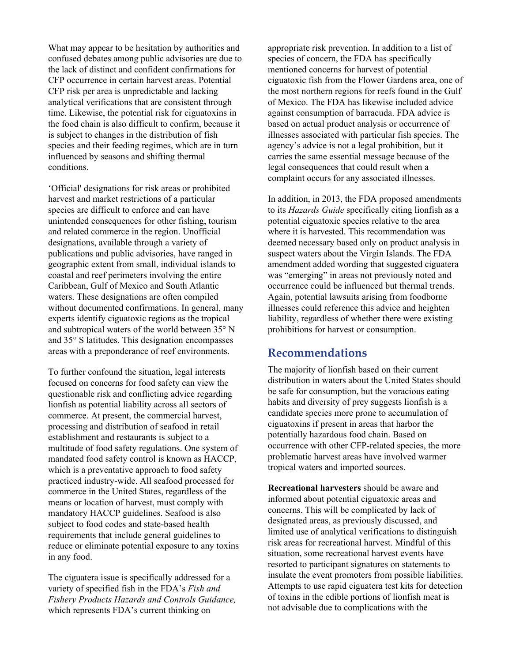What may appear to be hesitation by authorities and confused debates among public advisories are due to the lack of distinct and confident confirmations for CFP occurrence in certain harvest areas. Potential CFP risk per area is unpredictable and lacking analytical verifications that are consistent through time. Likewise, the potential risk for ciguatoxins in the food chain is also difficult to confirm, because it is subject to changes in the distribution of fish species and their feeding regimes, which are in turn influenced by seasons and shifting thermal conditions.

'Official' designations for risk areas or prohibited harvest and market restrictions of a particular species are difficult to enforce and can have unintended consequences for other fishing, tourism and related commerce in the region. Unofficial designations, available through a variety of publications and public advisories, have ranged in geographic extent from small, individual islands to coastal and reef perimeters involving the entire Caribbean, Gulf of Mexico and South Atlantic waters. These designations are often compiled without documented confirmations. In general, many experts identify ciguatoxic regions as the tropical and subtropical waters of the world between  $35^{\circ}$  N and  $35^{\circ}$  S latitudes. This designation encompasses areas with a preponderance of reef environments.

To further confound the situation, legal interests focused on concerns for food safety can view the questionable risk and conflicting advice regarding lionfish as potential liability across all sectors of commerce. At present, the commercial harvest, processing and distribution of seafood in retail establishment and restaurants is subject to a multitude of food safety regulations. One system of mandated food safety control is known as HACCP, which is a preventative approach to food safety practiced industry-wide. All seafood processed for commerce in the United States, regardless of the means or location of harvest, must comply with mandatory HACCP guidelines. Seafood is also subject to food codes and state-based health requirements that include general guidelines to reduce or eliminate potential exposure to any toxins in any food.

The ciguatera issue is specifically addressed for a variety of specified fish in the FDA's *Fish and Fishery Products Hazards and Controls Guidance,*  which represents FDA's current thinking on

appropriate risk prevention. In addition to a list of species of concern, the FDA has specifically mentioned concerns for harvest of potential ciguatoxic fish from the Flower Gardens area, one of the most northern regions for reefs found in the Gulf of Mexico. The FDA has likewise included advice against consumption of barracuda. FDA advice is based on actual product analysis or occurrence of illnesses associated with particular fish species. The agency's advice is not a legal prohibition, but it carries the same essential message because of the legal consequences that could result when a complaint occurs for any associated illnesses.

In addition, in 2013, the FDA proposed amendments to its *Hazards Guide* specifically citing lionfish as a potential ciguatoxic species relative to the area where it is harvested. This recommendation was deemed necessary based only on product analysis in suspect waters about the Virgin Islands. The FDA amendment added wording that suggested ciguatera was "emerging" in areas not previously noted and occurrence could be influenced but thermal trends. Again, potential lawsuits arising from foodborne illnesses could reference this advice and heighten liability, regardless of whether there were existing prohibitions for harvest or consumption.

#### **Recommendations**

The majority of lionfish based on their current distribution in waters about the United States should be safe for consumption, but the voracious eating habits and diversity of prey suggests lionfish is a candidate species more prone to accumulation of ciguatoxins if present in areas that harbor the potentially hazardous food chain. Based on occurrence with other CFP-related species, the more problematic harvest areas have involved warmer tropical waters and imported sources.

**Recreational harvesters** should be aware and informed about potential ciguatoxic areas and concerns. This will be complicated by lack of designated areas, as previously discussed, and limited use of analytical verifications to distinguish risk areas for recreational harvest. Mindful of this situation, some recreational harvest events have resorted to participant signatures on statements to insulate the event promoters from possible liabilities. Attempts to use rapid ciguatera test kits for detection of toxins in the edible portions of lionfish meat is not advisable due to complications with the